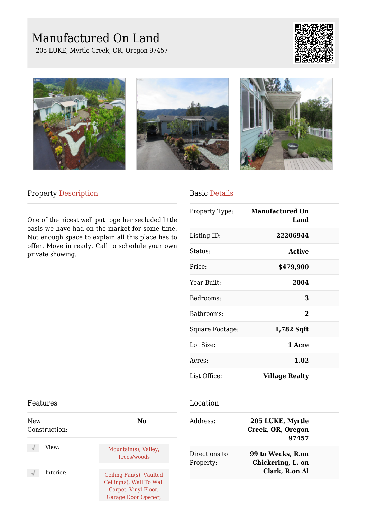# Manufactured On Land

- 205 LUKE, Myrtle Creek, OR, Oregon 97457









### Property Description

One of the nicest well put together secluded little oasis we have had on the market for some time. Not enough space to explain all this place has to offer. Move in ready. Call to schedule your own private showing.

#### Basic Details

|                 | Property Type: Manufactured On<br>Land |  |
|-----------------|----------------------------------------|--|
| Listing ID:     | 22206944                               |  |
| Status:         | <b>Active</b>                          |  |
| Price:          | \$479,900                              |  |
| Year Built:     | 2004                                   |  |
| Bedrooms:       | 3                                      |  |
| Bathrooms:      | $\overline{2}$                         |  |
| Square Footage: | 1,782 Sqft                             |  |
| Lot Size:       | 1 Acre                                 |  |
| Acres:          | 1.02                                   |  |
| List Office:    | <b>Village Realty</b>                  |  |

#### Features

| New<br>Construction: | No                                                                                                 |
|----------------------|----------------------------------------------------------------------------------------------------|
| View:                | Mountain(s), Valley,<br>Trees/woods                                                                |
| Interior:            | Ceiling Fan(s), Vaulted<br>Ceiling(s), Wall To Wall<br>Carpet, Vinyl Floor,<br>Garage Door Opener, |

#### Location

| Address:                   | 205 LUKE, Myrtle<br>Creek, OR, Oregon<br>97457           |  |
|----------------------------|----------------------------------------------------------|--|
| Directions to<br>Property: | 99 to Wecks, R.on<br>Chickering, L. on<br>Clark, R.on Al |  |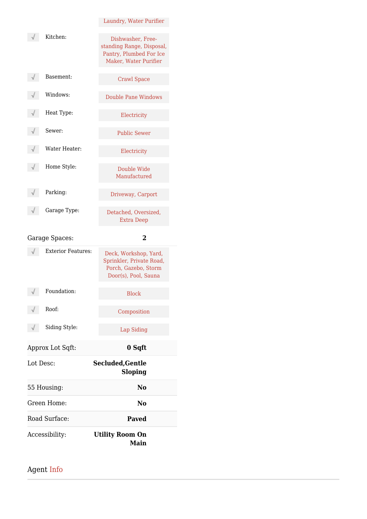|               | Laundry, Water Purifier                                                                            |
|---------------|----------------------------------------------------------------------------------------------------|
| Kitchen:      | Dishwasher, Free-<br>standing Range, Disposal,<br>Pantry, Plumbed For Ice<br>Maker, Water Purifier |
| Basement:     | <b>Crawl Space</b>                                                                                 |
| Windows:      | Double Pane Windows                                                                                |
| Heat Type:    | Electricity                                                                                        |
| Sewer:        | <b>Public Sewer</b>                                                                                |
| Water Heater: | Electricity                                                                                        |
| Home Style:   | Double Wide<br>Manufactured                                                                        |
| Parking:      | Driveway, Carport                                                                                  |
| Garage Type:  | Detached, Oversized,<br>Extra Deep                                                                 |

Garage Spaces: **2**

| <b>Exterior Features:</b> | Deck, Workshop, Yard,<br>Sprinkler, Private Road,<br>Porch, Gazebo, Storm<br>Door(s), Pool, Sauna |
|---------------------------|---------------------------------------------------------------------------------------------------|
| Foundation:               | <b>Block</b>                                                                                      |
| Root:                     | Composition                                                                                       |
| Siding Style:             | Lap Siding                                                                                        |
| Approx Lot Sqft:          | 0 Sqft                                                                                            |
| Lot Desc:                 | Secluded, Gentle<br><b>Sloping</b>                                                                |
| 55 Housing:               | No                                                                                                |
| Green Home:               | No                                                                                                |
| Road Surface:             | <b>Paved</b>                                                                                      |
| Accessibility:            | <b>Utility Room On</b><br>Main                                                                    |

## Agent Info